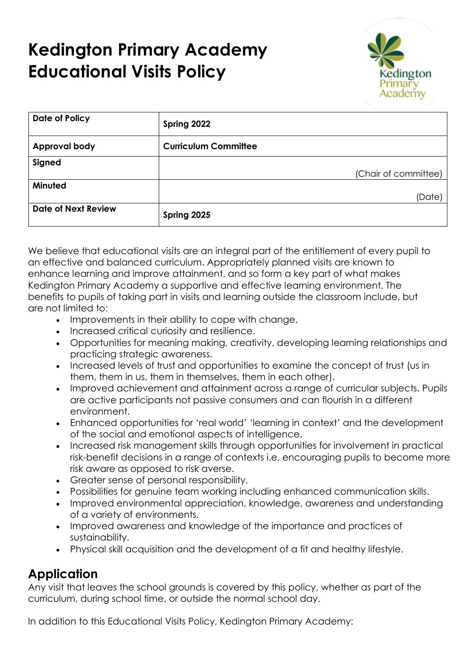# **Kedington Primary Academy Educational Visits Policy**



| Date of Policy             | Spring 2022                 |  |
|----------------------------|-----------------------------|--|
| <b>Approval body</b>       | <b>Curriculum Committee</b> |  |
| Signed                     |                             |  |
|                            | (Chair of committee)        |  |
| Minuted                    |                             |  |
|                            | (Date)                      |  |
| <b>Date of Next Review</b> | Spring 2025                 |  |

We believe that educational visits are an integral part of the entitlement of every pupil to an effective and balanced curriculum. Appropriately planned visits are known to enhance learning and improve attainment, and so form a key part of what makes Kedington Primary Academy a supportive and effective learning environment. The benefits to pupils of taking part in visits and learning outside the classroom include, but are not limited to:

- Improvements in their ability to cope with change.
- Increased critical curiosity and resilience.
- Opportunities for meaning making, creativity, developing learning relationships and practicing strategic awareness.
- Increased levels of trust and opportunities to examine the concept of trust (us in them, them in us, them in themselves, them in each other).
- Improved achievement and attainment across a range of curricular subjects. Pupils are active participants not passive consumers and can flourish in a different environment.
- Enhanced opportunities for 'real world' 'learning in context' and the development of the social and emotional aspects of intelligence.
- Increased risk management skills through opportunities for involvement in practical risk-benefit decisions in a range of contexts i.e. encouraging pupils to become more risk aware as opposed to risk averse.
- Greater sense of personal responsibility.
- Possibilities for genuine team working including enhanced communication skills.
- Improved environmental appreciation, knowledge, awareness and understanding of a variety of environments.
- Improved awareness and knowledge of the importance and practices of sustainability.
- Physical skill acquisition and the development of a fit and healthy lifestyle.

### **Application**

Any visit that leaves the school grounds is covered by this policy, whether as part of the curriculum, during school time, or outside the normal school day.

In addition to this Educational Visits Policy, Kedington Primary Academy: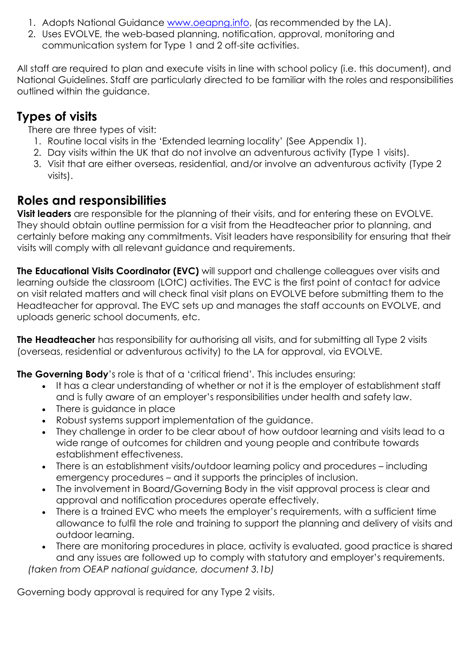- 1. Adopts National Guidance [www.oeapng.info,](http://www.oeapng.info/) (as recommended by the LA).
- 2. Uses EVOLVE, the web-based planning, notification, approval, monitoring and communication system for Type 1 and 2 off-site activities.

All staff are required to plan and execute visits in line with school policy (i.e. this document), and National Guidelines. Staff are particularly directed to be familiar with the roles and responsibilities outlined within the guidance.

## **Types of visits**

There are three types of visit:

- 1. Routine local visits in the 'Extended learning locality' (See Appendix 1).
- 2. Day visits within the UK that do not involve an adventurous activity (Type 1 visits).
- 3. Visit that are either overseas, residential, and/or involve an adventurous activity (Type 2 visits).

## **Roles and responsibilities**

**Visit leaders** are responsible for the planning of their visits, and for entering these on EVOLVE. They should obtain outline permission for a visit from the Headteacher prior to planning, and certainly before making any commitments. Visit leaders have responsibility for ensuring that their visits will comply with all relevant guidance and requirements.

**The Educational Visits Coordinator (EVC)** will support and challenge colleagues over visits and learning outside the classroom (LOtC) activities. The EVC is the first point of contact for advice on visit related matters and will check final visit plans on EVOLVE before submitting them to the Headteacher for approval. The EVC sets up and manages the staff accounts on EVOLVE, and uploads generic school documents, etc.

**The Headteacher** has responsibility for authorising all visits, and for submitting all Type 2 visits (overseas, residential or adventurous activity) to the LA for approval, via EVOLVE.

**The Governing Body**'s role is that of a 'critical friend'*.* This includes ensuring:

- It has a clear understanding of whether or not it is the employer of establishment staff and is fully aware of an employer's responsibilities under health and safety law.
- There is guidance in place
- Robust systems support implementation of the guidance.
- They challenge in order to be clear about of how outdoor learning and visits lead to a wide range of outcomes for children and young people and contribute towards establishment effectiveness.
- There is an establishment visits/outdoor learning policy and procedures including emergency procedures – and it supports the principles of inclusion.
- The involvement in Board/Governing Body in the visit approval process is clear and approval and notification procedures operate effectively.
- There is a trained EVC who meets the employer's requirements, with a sufficient time allowance to fulfil the role and training to support the planning and delivery of visits and outdoor learning.
- There are monitoring procedures in place, activity is evaluated, good practice is shared and any issues are followed up to comply with statutory and employer's requirements.

*(taken from OEAP national guidance, document 3.1b)*

Governing body approval is required for any Type 2 visits.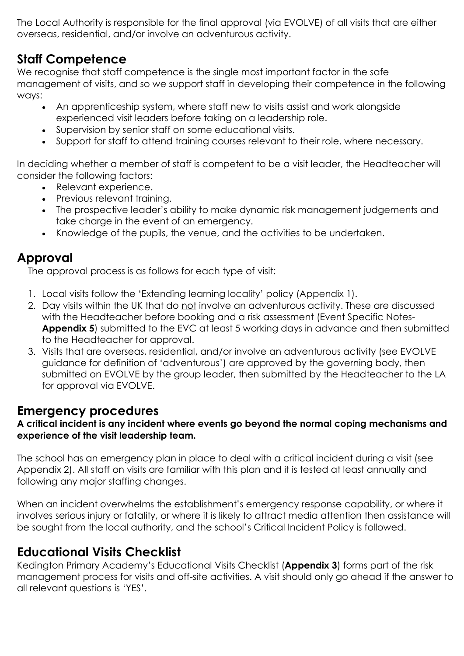The Local Authority is responsible for the final approval (via EVOLVE) of all visits that are either overseas, residential, and/or involve an adventurous activity.

### **Staff Competence**

We recognise that staff competence is the single most important factor in the safe management of visits, and so we support staff in developing their competence in the following ways:

- An apprenticeship system, where staff new to visits assist and work alongside experienced visit leaders before taking on a leadership role.
- Supervision by senior staff on some educational visits.
- Support for staff to attend training courses relevant to their role, where necessary.

In deciding whether a member of staff is competent to be a visit leader, the Headteacher will consider the following factors:

- Relevant experience.
- Previous relevant training.
- The prospective leader's ability to make dynamic risk management judgements and take charge in the event of an emergency.
- Knowledge of the pupils, the venue, and the activities to be undertaken.

### **Approval**

The approval process is as follows for each type of visit:

- 1. Local visits follow the 'Extending learning locality' policy (Appendix 1).
- 2. Day visits within the UK that do not involve an adventurous activity. These are discussed with the Headteacher before booking and a risk assessment (Event Specific Notes-**Appendix 5**) submitted to the EVC at least 5 working days in advance and then submitted to the Headteacher for approval.
- 3. Visits that are overseas, residential, and/or involve an adventurous activity (see EVOLVE guidance for definition of 'adventurous') are approved by the governing body, then submitted on EVOLVE by the group leader, then submitted by the Headteacher to the LA for approval via EVOLVE.

### **Emergency procedures**

#### **A critical incident is any incident where events go beyond the normal coping mechanisms and experience of the visit leadership team.**

The school has an emergency plan in place to deal with a critical incident during a visit (see Appendix 2). All staff on visits are familiar with this plan and it is tested at least annually and following any major staffing changes.

When an incident overwhelms the establishment's emergency response capability, or where it involves serious injury or fatality, or where it is likely to attract media attention then assistance will be sought from the local authority, and the school's Critical Incident Policy is followed.

## **Educational Visits Checklist**

Kedington Primary Academy's Educational Visits Checklist (**Appendix 3**) forms part of the risk management process for visits and off-site activities. A visit should only go ahead if the answer to all relevant questions is 'YES'.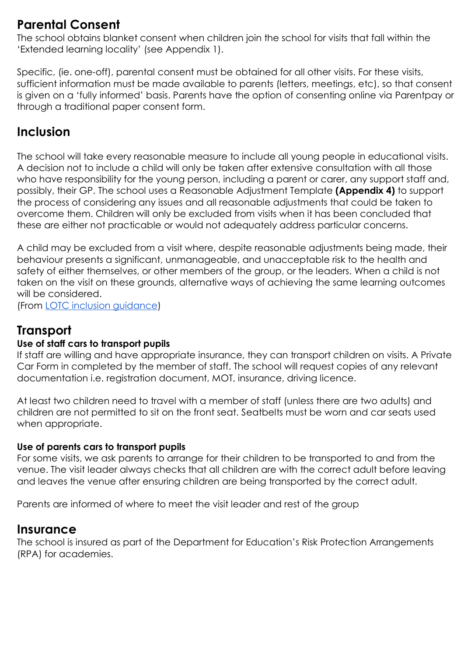### **Parental Consent**

The school obtains blanket consent when children join the school for visits that fall within the 'Extended learning locality' (see Appendix 1).

Specific, (ie. one-off), parental consent must be obtained for all other visits. For these visits, sufficient information must be made available to parents (letters, meetings, etc), so that consent is given on a 'fully informed' basis. Parents have the option of consenting online via Parentpay or through a traditional paper consent form.

### **Inclusion**

The school will take every reasonable measure to include all young people in educational visits. A decision not to include a child will only be taken after extensive consultation with all those who have responsibility for the young person, including a parent or carer, any support staff and, possibly, their GP. The school uses a Reasonable Adjustment Template **(Appendix 4)** to support the process of considering any issues and all reasonable adjustments that could be taken to overcome them. Children will only be excluded from visits when it has been concluded that these are either not practicable or would not adequately address particular concerns.

A child may be excluded from a visit where, despite reasonable adjustments being made, their behaviour presents a significant, unmanageable, and unacceptable risk to the health and safety of either themselves, or other members of the group, or the leaders. When a child is not taken on the visit on these grounds, alternative ways of achieving the same learning outcomes will be considered.

(From LOTC [inclusion guidance\)](http://www.lotc.org.uk/wp-content/uploads/2010/12/Inclusion_2011.pdf)

### **Transport**

#### **Use of staff cars to transport pupils**

If staff are willing and have appropriate insurance, they can transport children on visits. A Private Car Form in completed by the member of staff. The school will request copies of any relevant documentation i.e. registration document, MOT, insurance, driving licence.

At least two children need to travel with a member of staff (unless there are two adults) and children are not permitted to sit on the front seat. Seatbelts must be worn and car seats used when appropriate.

#### **Use of parents cars to transport pupils**

For some visits, we ask parents to arrange for their children to be transported to and from the venue. The visit leader always checks that all children are with the correct adult before leaving and leaves the venue after ensuring children are being transported by the correct adult.

Parents are informed of where to meet the visit leader and rest of the group

### **Insurance**

The school is insured as part of the Department for Education's Risk Protection Arrangements (RPA) for academies.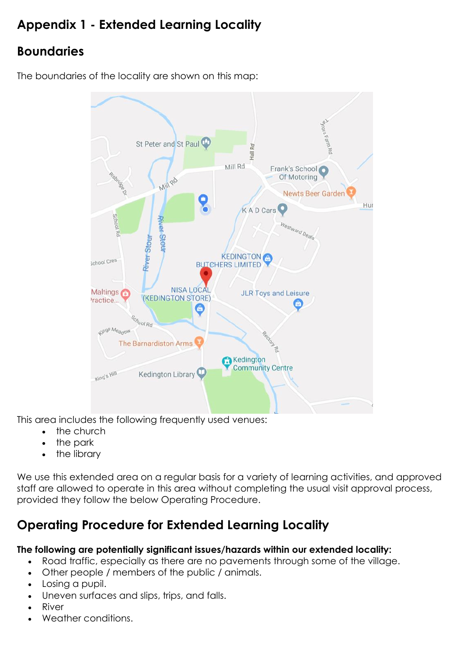## **Appendix 1 - Extended Learning Locality**

## **Boundaries**

The boundaries of the locality are shown on this map:



This area includes the following frequently used venues:

- the church
- the park
- the library

We use this extended area on a regular basis for a variety of learning activities, and approved staff are allowed to operate in this area without completing the usual visit approval process, provided they follow the below Operating Procedure.

## **Operating Procedure for Extended Learning Locality**

#### **The following are potentially significant issues/hazards within our extended locality:**

- Road traffic, especially as there are no pavements through some of the village.
- Other people / members of the public / animals.
- Losing a pupil.
- Uneven surfaces and slips, trips, and falls.
- **River**
- Weather conditions.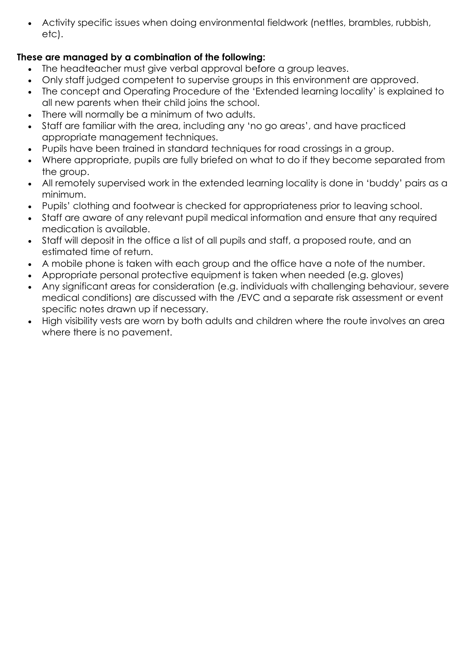• Activity specific issues when doing environmental fieldwork (nettles, brambles, rubbish, etc).

### **These are managed by a combination of the following:**

- The headteacher must give verbal approval before a group leaves.
- Only staff judged competent to supervise groups in this environment are approved.
- The concept and Operating Procedure of the 'Extended learning locality' is explained to all new parents when their child joins the school.
- There will normally be a minimum of two adults.
- Staff are familiar with the area, including any 'no go areas', and have practiced appropriate management techniques.
- Pupils have been trained in standard techniques for road crossings in a group.
- Where appropriate, pupils are fully briefed on what to do if they become separated from the group.
- All remotely supervised work in the extended learning locality is done in 'buddy' pairs as a minimum.
- Pupils' clothing and footwear is checked for appropriateness prior to leaving school.
- Staff are aware of any relevant pupil medical information and ensure that any required medication is available.
- Staff will deposit in the office a list of all pupils and staff, a proposed route, and an estimated time of return.
- A mobile phone is taken with each group and the office have a note of the number.
- Appropriate personal protective equipment is taken when needed (e.g. gloves)
- Any significant areas for consideration (e.g. individuals with challenging behaviour, severe medical conditions) are discussed with the /EVC and a separate risk assessment or event specific notes drawn up if necessary.
- High visibility vests are worn by both adults and children where the route involves an area where there is no pavement.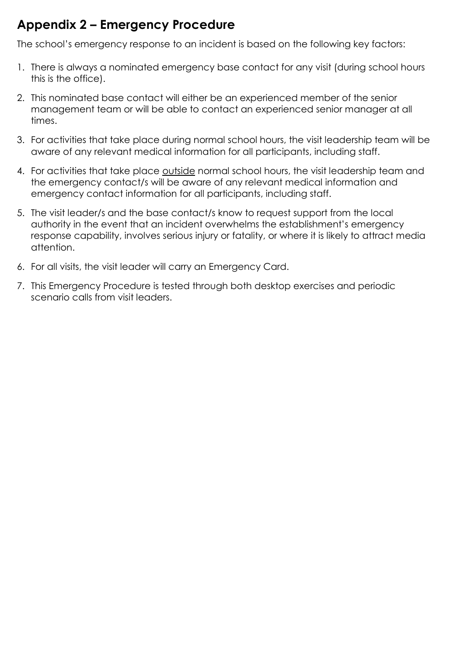## **Appendix 2 – Emergency Procedure**

The school's emergency response to an incident is based on the following key factors:

- 1. There is always a nominated emergency base contact for any visit (during school hours this is the office).
- 2. This nominated base contact will either be an experienced member of the senior management team or will be able to contact an experienced senior manager at all times.
- 3. For activities that take place during normal school hours, the visit leadership team will be aware of any relevant medical information for all participants, including staff.
- 4. For activities that take place outside normal school hours, the visit leadership team and the emergency contact/s will be aware of any relevant medical information and emergency contact information for all participants, including staff.
- 5. The visit leader/s and the base contact/s know to request support from the local authority in the event that an incident overwhelms the establishment's emergency response capability, involves serious injury or fatality, or where it is likely to attract media attention.
- 6. For all visits, the visit leader will carry an Emergency Card.
- 7. This Emergency Procedure is tested through both desktop exercises and periodic scenario calls from visit leaders.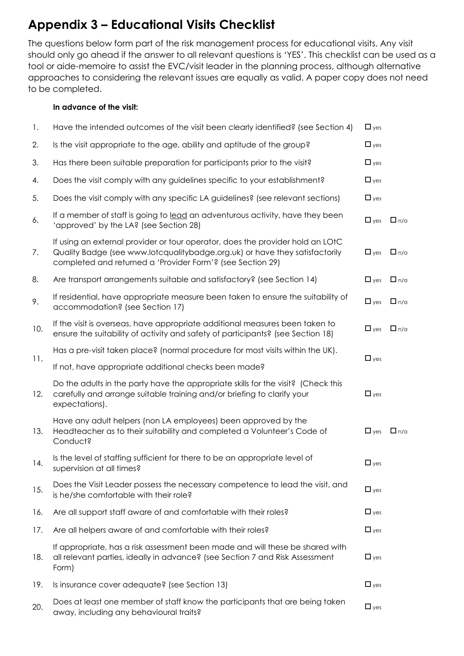## **Appendix 3 – Educational Visits Checklist**

The questions below form part of the risk management process for educational visits. Any visit should only go ahead if the answer to all relevant questions is 'YES'. This checklist can be used as a tool or aide-memoire to assist the EVC/visit leader in the planning process, although alternative approaches to considering the relevant issues are equally as valid. A paper copy does not need to be completed.

#### **In advance of the visit:**

| 1.  | Have the intended outcomes of the visit been clearly identified? (see Section 4)                                                                                                                                            | $\Box$ yes |            |
|-----|-----------------------------------------------------------------------------------------------------------------------------------------------------------------------------------------------------------------------------|------------|------------|
| 2.  | Is the visit appropriate to the age, ability and aptitude of the group?                                                                                                                                                     | $\Box$ yes |            |
| 3.  | Has there been suitable preparation for participants prior to the visit?                                                                                                                                                    | $\Box$ yes |            |
| 4.  | Does the visit comply with any guidelines specific to your establishment?                                                                                                                                                   | $\Box$ yes |            |
| 5.  | Does the visit comply with any specific LA guidelines? (see relevant sections)                                                                                                                                              | $\Box$ yes |            |
| 6.  | If a member of staff is going to lead an adventurous activity, have they been<br>'approved' by the LA? (see Section 28)                                                                                                     | $\Box$ yes | $\Box$ n/a |
| 7.  | If using an external provider or tour operator, does the provider hold an LOtC<br>Quality Badge (see www.lotcqualitybadge.org.uk) or have they satisfactorily<br>completed and returned a 'Provider Form'? (see Section 29) | $\Box$ yes | $\Box$ n/a |
| 8.  | Are transport arrangements suitable and satisfactory? (see Section 14)                                                                                                                                                      | $\Box$ yes | $\Box$ n/a |
| 9.  | If residential, have appropriate measure been taken to ensure the suitability of<br>accommodation? (see Section 17)                                                                                                         | $\Box$ yes | $\Box$ n/a |
| 10. | If the visit is overseas, have appropriate additional measures been taken to<br>ensure the suitability of activity and safety of participants? (see Section 18)                                                             | $\Box$ yes | $\Box$ n/a |
|     | Has a pre-visit taken place? (normal procedure for most visits within the UK).                                                                                                                                              | $\Box$ yes |            |
| 11. | If not, have appropriate additional checks been made?                                                                                                                                                                       |            |            |
| 12. | Do the adults in the party have the appropriate skills for the visit? (Check this<br>carefully and arrange suitable training and/or briefing to clarify your<br>expectations).                                              | $\Box$ yes |            |
| 13. | Have any adult helpers (non LA employees) been approved by the<br>Headteacher as to their suitability and completed a Volunteer's Code of<br>Conduct?                                                                       | $\Box$ yes | $\Box$ n/a |
| 14. | Is the level of staffing sufficient for there to be an appropriate level of<br>supervision at all times?                                                                                                                    | $\Box$ yes |            |
| 15. | Does the Visit Leader possess the necessary competence to lead the visit, and<br>is he/she comfortable with their role?                                                                                                     | $\Box$ yes |            |
| 16. | Are all support staff aware of and comfortable with their roles?                                                                                                                                                            | $\Box$ yes |            |
| 17. | Are all helpers aware of and comfortable with their roles?                                                                                                                                                                  | $\Box$ yes |            |
| 18. | If appropriate, has a risk assessment been made and will these be shared with<br>all relevant parties, ideally in advance? (see Section 7 and Risk Assessment<br>Form)                                                      | $\Box$ yes |            |
| 19. | Is insurance cover adequate? (see Section 13)                                                                                                                                                                               | $\Box$ yes |            |
| 20. | Does at least one member of staff know the participants that are being taken<br>away, including any behavioural traits?                                                                                                     | $\Box$ yes |            |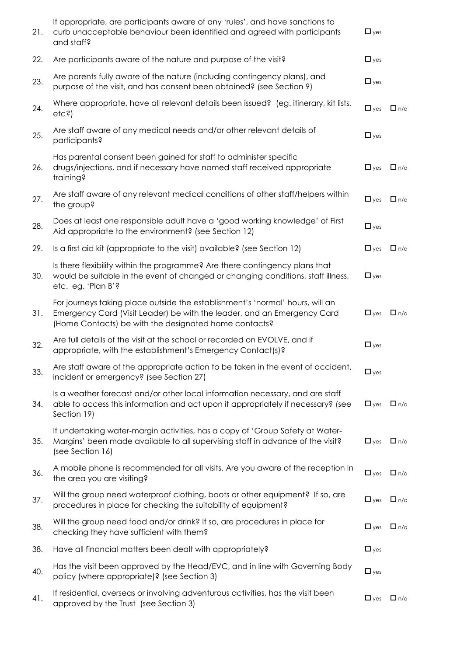| 21. | If appropriate, are participants aware of any 'rules', and have sanctions to<br>curb unacceptable behaviour been identified and agreed with participants<br>and staff?                                            | $\Box$ yes |            |
|-----|-------------------------------------------------------------------------------------------------------------------------------------------------------------------------------------------------------------------|------------|------------|
| 22. | Are participants aware of the nature and purpose of the visit?                                                                                                                                                    | $\Box$ yes |            |
| 23. | Are parents fully aware of the nature (including contingency plans), and<br>purpose of the visit, and has consent been obtained? (see Section 9)                                                                  | $\Box$ yes |            |
| 24. | Where appropriate, have all relevant details been issued? (eg. itinerary, kit lists,<br>etc <sub>5</sub>                                                                                                          | $\Box$ yes | $\Box$ n/a |
| 25. | Are staff aware of any medical needs and/or other relevant details of<br>participants?                                                                                                                            | $\Box$ yes |            |
| 26. | Has parental consent been gained for staff to administer specific<br>drugs/injections, and if necessary have named staff received appropriate<br>training?                                                        | $\Box$ yes | $\Box$ n/a |
| 27. | Are staff aware of any relevant medical conditions of other staff/helpers within<br>the group?                                                                                                                    | $\Box$ yes | $\Box$ n/a |
| 28. | Does at least one responsible adult have a 'good working knowledge' of First<br>Aid appropriate to the environment? (see Section 12)                                                                              | $\Box$ yes |            |
| 29. | Is a first aid kit (appropriate to the visit) available? (see Section 12)                                                                                                                                         | $\Box$ yes | $\Box$ n/a |
| 30. | Is there flexibility within the programme? Are there contingency plans that<br>would be suitable in the event of changed or changing conditions, staff illness,<br>etc. eg. 'Plan B'?                             | $\Box$ yes |            |
| 31. | For journeys taking place outside the establishment's 'normal' hours, will an<br>Emergency Card (Visit Leader) be with the leader, and an Emergency Card<br>(Home Contacts) be with the designated home contacts? | $\Box$ yes | $\Box$ n/a |
| 32. | Are full details of the visit at the school or recorded on EVOLVE, and if<br>appropriate, with the establishment's Emergency Contact(s)?                                                                          | $\Box$ yes |            |
| 33. | Are staff aware of the appropriate action to be taken in the event of accident,<br>incident or emergency? (see Section 27)                                                                                        | $\Box$ yes |            |
| 34. | Is a weather forecast and/or other local information necessary, and are staff<br>able to access this information and act upon it appropriately if necessary? (see<br>Section 19)                                  | $\Box$ yes | $\Box$ n/a |
| 35. | If undertaking water-margin activities, has a copy of 'Group Safety at Water-<br>Margins' been made available to all supervising staff in advance of the visit?<br>(see Section 16)                               | $\Box$ yes | $\Box$ n/a |
| 36. | A mobile phone is recommended for all visits. Are you aware of the reception in<br>the area you are visiting?                                                                                                     | $\Box$ yes | $\Box$ n/a |
| 37. | Will the group need waterproof clothing, boots or other equipment? If so, are<br>procedures in place for checking the suitability of equipment?                                                                   | $\Box$ yes | $\Box$ n/a |
| 38. | Will the group need food and/or drink? If so, are procedures in place for<br>checking they have sufficient with them?                                                                                             | $\Box$ yes | $\Box$ n/a |
| 38. | Have all financial matters been dealt with appropriately?                                                                                                                                                         | $\Box$ yes |            |
| 40. | Has the visit been approved by the Head/EVC, and in line with Governing Body<br>policy (where appropriate)? (see Section 3)                                                                                       | $\Box$ yes |            |
| 41. | If residential, overseas or involving adventurous activities, has the visit been<br>approved by the Trust (see Section 3)                                                                                         | $\Box$ yes | $\Box$ n/a |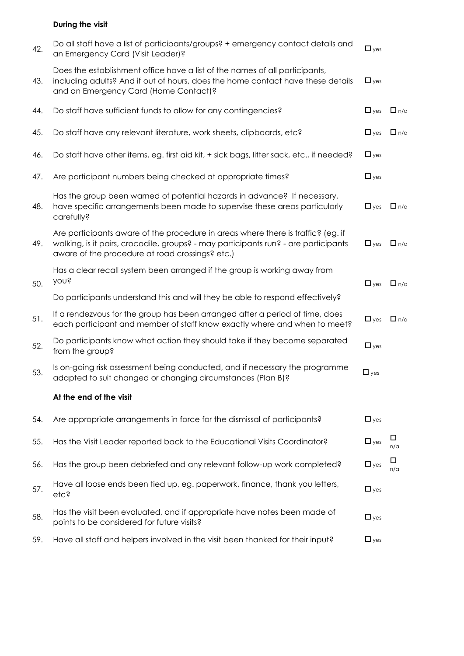#### **During the visit**

| 42. | Do all staff have a list of participants/groups? + emergency contact details and<br>an Emergency Card (Visit Leader)?                                                                                                      | $\Box$ yes |            |
|-----|----------------------------------------------------------------------------------------------------------------------------------------------------------------------------------------------------------------------------|------------|------------|
| 43. | Does the establishment office have a list of the names of all participants,<br>including adults? And if out of hours, does the home contact have these details<br>and an Emergency Card (Home Contact)?                    | $\Box$ yes |            |
| 44. | Do staff have sufficient funds to allow for any contingencies?                                                                                                                                                             | $\Box$ yes | $\Box$ n/a |
| 45. | Do staff have any relevant literature, work sheets, clipboards, etc?                                                                                                                                                       | $\Box$ yes | $\Box$ n/a |
| 46. | Do staff have other items, eg. first aid kit, + sick bags, litter sack, etc., if needed?                                                                                                                                   | $\Box$ yes |            |
| 47. | Are participant numbers being checked at appropriate times?                                                                                                                                                                | $\Box$ yes |            |
| 48. | Has the group been warned of potential hazards in advance? If necessary,<br>have specific arrangements been made to supervise these areas particularly<br>carefully?                                                       | $\Box$ yes | $\Box$ n/a |
| 49. | Are participants aware of the procedure in areas where there is traffic? (eg. if<br>walking, is it pairs, crocodile, groups? - may participants run? - are participants<br>aware of the procedure at road crossings? etc.) | $\Box$ yes | $\Box$ n/a |
| 50. | Has a clear recall system been arranged if the group is working away from<br>you?                                                                                                                                          | $\Box$ yes | $\Box$ n/a |
|     | Do participants understand this and will they be able to respond effectively?                                                                                                                                              |            |            |
| 51. | If a rendezvous for the group has been arranged after a period of time, does<br>each participant and member of staff know exactly where and when to meet?                                                                  | $\Box$ yes | $\Box$ n/a |
| 52. | Do participants know what action they should take if they become separated<br>from the group?                                                                                                                              | $\Box$ yes |            |
| 53. | Is on-going risk assessment being conducted, and if necessary the programme<br>adapted to suit changed or changing circumstances (Plan B)?                                                                                 | $\Box$ yes |            |
|     | At the end of the visit                                                                                                                                                                                                    |            |            |
| 54. | Are appropriate arrangements in force for the dismissal of participants?                                                                                                                                                   | $\Box$ yes |            |
| 55. | Has the Visit Leader reported back to the Educational Visits Coordinator?                                                                                                                                                  | $\Box$ yes | □<br>n/a   |
| 56. | Has the group been debriefed and any relevant follow-up work completed?                                                                                                                                                    | $\Box$ yes | □<br>n/a   |
| 57. | Have all loose ends been tied up, eg. paperwork, finance, thank you letters,<br>etc?                                                                                                                                       | $\Box$ yes |            |
| 58. | Has the visit been evaluated, and if appropriate have notes been made of<br>points to be considered for future visits?                                                                                                     | $\Box$ yes |            |
| 59. | Have all staff and helpers involved in the visit been thanked for their input?                                                                                                                                             | $\Box$ yes |            |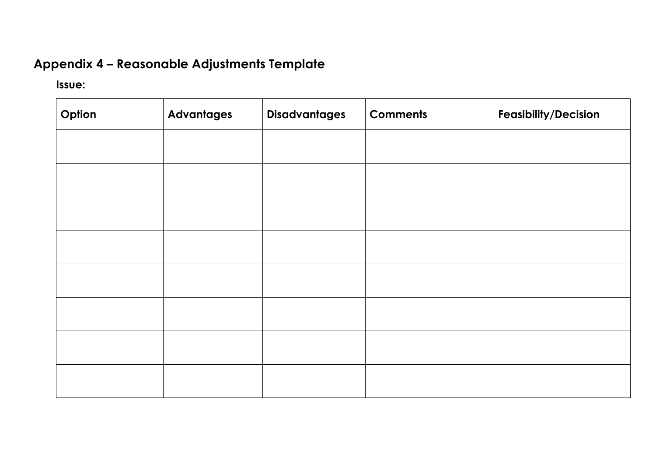## **Appendix 4 – Reasonable Adjustments Template**

### **Issue:**

| Option | <b>Advantages</b> | <b>Disadvantages</b> | <b>Comments</b> | <b>Feasibility/Decision</b> |
|--------|-------------------|----------------------|-----------------|-----------------------------|
|        |                   |                      |                 |                             |
|        |                   |                      |                 |                             |
|        |                   |                      |                 |                             |
|        |                   |                      |                 |                             |
|        |                   |                      |                 |                             |
|        |                   |                      |                 |                             |
|        |                   |                      |                 |                             |
|        |                   |                      |                 |                             |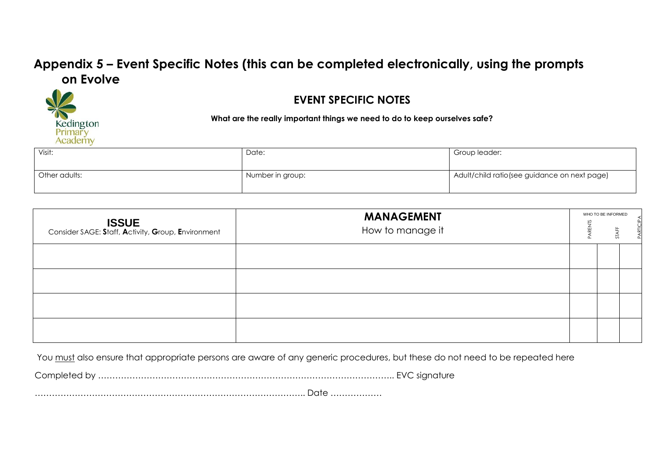### **Appendix 5 – Event Specific Notes (this can be completed electronically, using the prompts on Evolve**



### **EVENT SPECIFIC NOTES**

**What are the really important things we need to do to keep ourselves safe?**

| Visit:        | Date:            | Group leader:                                 |
|---------------|------------------|-----------------------------------------------|
| Other adults: | Number in group: | Adult/child ratio (see guidance on next page) |

| <b>ISSUE</b><br>Consider SAGE: Staff, Activity, Group, Environment | <b>MANAGEMENT</b><br>How to manage it | WHO TO BE INFORMED |  |
|--------------------------------------------------------------------|---------------------------------------|--------------------|--|
|                                                                    |                                       |                    |  |
|                                                                    |                                       |                    |  |
|                                                                    |                                       |                    |  |
|                                                                    |                                       |                    |  |

You must also ensure that appropriate persons are aware of any generic procedures, but these do not need to be repeated here

Completed by ………………………………………………………………………………………….. EVC signature

………………………………………………………………………………….. Date ………………